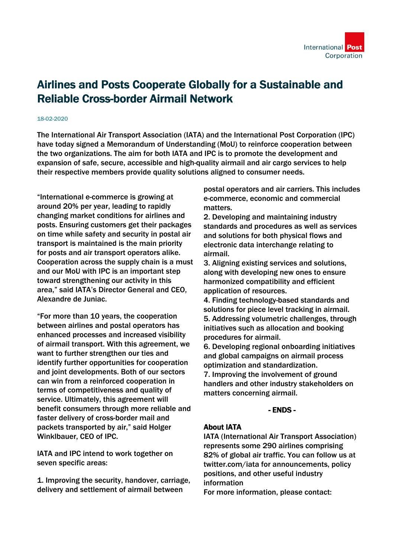# Airlines and Posts Cooperate Globally for a Sustainable and Reliable Cross-border Airmail Network

#### 18-02-2020

The International Air Transport Association (IATA) and the International Post Corporation (IPC) have today signed a Memorandum of Understanding (MoU) to reinforce cooperation between the two organizations. The aim for both IATA and IPC is to promote the development and expansion of safe, secure, accessible and high-quality airmail and air cargo services to help their respective members provide quality solutions aligned to consumer needs.

"International e-commerce is growing at around 20% per year, leading to rapidly changing market conditions for airlines and posts. Ensuring customers get their packages on time while safety and security in postal air transport is maintained is the main priority for posts and air transport operators alike. Cooperation across the supply chain is a must and our MoU with IPC is an important step toward strengthening our activity in this area," said IATA's Director General and CEO, Alexandre de Juniac.

"For more than 10 years, the cooperation between airlines and postal operators has enhanced processes and increased visibility of airmail transport. With this agreement, we want to further strengthen our ties and identify further opportunities for cooperation and joint developments. Both of our sectors can win from a reinforced cooperation in terms of competitiveness and quality of service. Ultimately, this agreement will benefit consumers through more reliable and faster delivery of cross-border mail and packets transported by air," said Holger Winklbauer, CEO of IPC.

IATA and IPC intend to work together on seven specific areas:

1. Improving the security, handover, carriage, delivery and settlement of airmail between

postal operators and air carriers. This includes e-commerce, economic and commercial matters.

2. Developing and maintaining industry standards and procedures as well as services and solutions for both physical flows and electronic data interchange relating to airmail.

3. Aligning existing services and solutions, along with developing new ones to ensure harmonized compatibility and efficient application of resources.

4. Finding technology-based standards and solutions for piece level tracking in airmail. 5. Addressing volumetric challenges, through initiatives such as allocation and booking procedures for airmail.

6. Developing regional onboarding initiatives and global campaigns on airmail process optimization and standardization.

7. Improving the involvement of ground handlers and other industry stakeholders on matters concerning airmail.

### - ENDS -

### About IATA

IATA (International Air Transport Association) represents some 290 airlines comprising 82% of global air traffic. You can follow us at twitter.com/iata for announcements, policy positions, and other useful industry information

For more information, please contact: